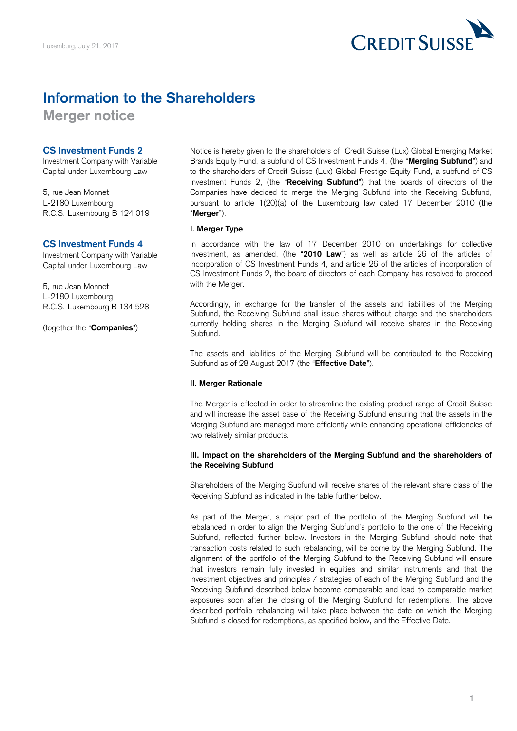

# **Information to the Shareholders**

**Merger notice** 

# **CS Investment Funds 2**

Investment Company with Variable Capital under Luxembourg Law

5, rue Jean Monnet L-2180 Luxembourg R.C.S. Luxembourg B 124 019

# **CS Investment Funds 4**

Investment Company with Variable Capital under Luxembourg Law

5, rue Jean Monnet L-2180 Luxembourg R.C.S. Luxembourg B 134 528

(together the "**Companies**")

 Notice is hereby given to the shareholders of Credit Suisse (Lux) Global Emerging Market Brands Equity Fund, a subfund of CS Investment Funds 4, (the "**Merging Subfund**") and to the shareholders of Credit Suisse (Lux) Global Prestige Equity Fund, a subfund of CS Investment Funds 2, (the "**Receiving Subfund**") that the boards of directors of the Companies have decided to merge the Merging Subfund into the Receiving Subfund, pursuant to article 1(20)(a) of the Luxembourg law dated 17 December 2010 (the "**Merger**").

## **I. Merger Type**

 In accordance with the law of 17 December 2010 on undertakings for collective investment, as amended, (the "**2010 Law**") as well as article 26 of the articles of incorporation of CS Investment Funds 4, and article 26 of the articles of incorporation of CS Investment Funds 2, the board of directors of each Company has resolved to proceed with the Merger.

 Accordingly, in exchange for the transfer of the assets and liabilities of the Merging Subfund, the Receiving Subfund shall issue shares without charge and the shareholders currently holding shares in the Merging Subfund will receive shares in the Receiving Subfund.

 The assets and liabilities of the Merging Subfund will be contributed to the Receiving Subfund as of 28 August 2017 (the "**Effective Date**").

# **II. Merger Rationale**

 The Merger is effected in order to streamline the existing product range of Credit Suisse and will increase the asset base of the Receiving Subfund ensuring that the assets in the Merging Subfund are managed more efficiently while enhancing operational efficiencies of two relatively similar products.

## **III. Impact on the shareholders of the Merging Subfund and the shareholders of the Receiving Subfund**

 Shareholders of the Merging Subfund will receive shares of the relevant share class of the Receiving Subfund as indicated in the table further below.

 As part of the Merger, a major part of the portfolio of the Merging Subfund will be rebalanced in order to align the Merging Subfund's portfolio to the one of the Receiving Subfund, reflected further below. Investors in the Merging Subfund should note that transaction costs related to such rebalancing, will be borne by the Merging Subfund. The alignment of the portfolio of the Merging Subfund to the Receiving Subfund will ensure that investors remain fully invested in equities and similar instruments and that the investment objectives and principles / strategies of each of the Merging Subfund and the Receiving Subfund described below become comparable and lead to comparable market exposures soon after the closing of the Merging Subfund for redemptions. The above described portfolio rebalancing will take place between the date on which the Merging Subfund is closed for redemptions, as specified below, and the Effective Date.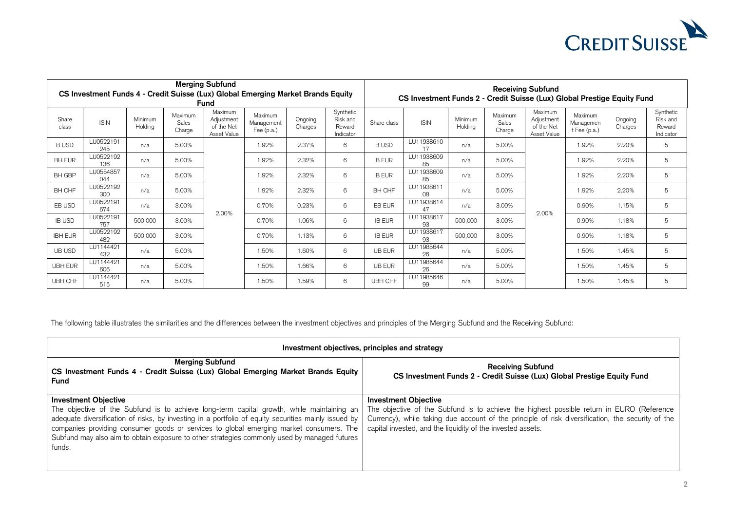

| <b>Merging Subfund</b><br>CS Investment Funds 4 - Credit Suisse (Lux) Global Emerging Market Brands Equity<br>Fund |                  |                    |                            |                                                    |                                     |                    |                                              | <b>Receiving Subfund</b><br>CS Investment Funds 2 - Credit Suisse (Lux) Global Prestige Equity Fund |                  |                    |                            |                                                    |                                          |                    |                                              |
|--------------------------------------------------------------------------------------------------------------------|------------------|--------------------|----------------------------|----------------------------------------------------|-------------------------------------|--------------------|----------------------------------------------|-----------------------------------------------------------------------------------------------------|------------------|--------------------|----------------------------|----------------------------------------------------|------------------------------------------|--------------------|----------------------------------------------|
| Share<br>class                                                                                                     | <b>ISIN</b>      | Minimum<br>Holding | Maximum<br>Sales<br>Charge | Maximum<br>Adjustment<br>of the Net<br>Asset Value | Maximum<br>Management<br>Fee (p.a.) | Ongoing<br>Charges | Synthetic<br>Risk and<br>Reward<br>Indicator | Share class                                                                                         | <b>ISIN</b>      | Minimum<br>Holding | Maximum<br>Sales<br>Charge | Maximum<br>Adjustment<br>of the Net<br>Asset Value | Maximum<br>Managemen<br>$t$ Fee $(p.a.)$ | Ongoing<br>Charges | Synthetic<br>Risk and<br>Reward<br>Indicator |
| <b>BUSD</b>                                                                                                        | LU0522191<br>245 | n/a                | 5.00%                      |                                                    | 1.92%                               | 2.37%              | 6                                            | <b>BUSD</b>                                                                                         | LU11938610<br>17 | n/a                | 5.00%                      |                                                    | 1.92%                                    | 2.20%              | 5                                            |
| <b>BH EUR</b>                                                                                                      | LU0522192<br>136 | n/a                | 5.00%                      |                                                    | 1.92%                               | 2.32%              | 6                                            | <b>B EUR</b>                                                                                        | LU11938609<br>85 | n/a                | 5.00%                      |                                                    | 1.92%                                    | 2.20%              | 5                                            |
| <b>BH GBP</b>                                                                                                      | LU0554857<br>044 | n/a                | 5.00%                      |                                                    | 1.92%                               | 2.32%              | 6                                            | <b>B EUR</b>                                                                                        | LU11938609<br>85 | n/a                | 5.00%                      |                                                    | 1.92%                                    | 2.20%              | 5                                            |
| BH CHF                                                                                                             | LU0522192<br>300 | n/a                | 5.00%                      |                                                    | 1.92%                               | 2.32%              | 6                                            | BH CHF                                                                                              | LU11938611<br>08 | n/a                | 5.00%                      |                                                    | 1.92%                                    | 2.20%              | 5                                            |
| EB USD                                                                                                             | LU0522191<br>674 | n/a                | 3.00%                      | 2.00%                                              | 0.70%                               | 0.23%              | 6                                            | EB EUR                                                                                              | LU11938614<br>47 | n/a                | 3.00%                      | 2.00%                                              | 0.90%                                    | 1.15%              | 5                                            |
| <b>IB USD</b>                                                                                                      | LU0522191<br>757 | 500,000            | 3.00%                      |                                                    | 0.70%                               | 1.06%              | 6                                            | <b>IB EUR</b>                                                                                       | LU11938617<br>93 | 500,000            | 3.00%                      |                                                    | 0.90%                                    | 1.18%              | 5                                            |
| <b>IBH EUR</b>                                                                                                     | LU0522192<br>482 | 500,000            | 3.00%                      |                                                    | 0.70%                               | 1.13%              | 6                                            | <b>IB EUR</b>                                                                                       | LU11938617<br>93 | 500,000            | 3.00%                      |                                                    | 0.90%                                    | 1.18%              | 5                                            |
| UB USD                                                                                                             | LU1144421<br>432 | n/a                | 5.00%                      |                                                    | 1.50%                               | 1.60%              | 6                                            | <b>UB EUR</b>                                                                                       | LU11985644<br>26 | n/a                | 5.00%                      |                                                    | 1.50%                                    | 1.45%              | 5                                            |
| <b>UBH EUR</b>                                                                                                     | LU1144421<br>606 | n/a                | 5.00%                      |                                                    | 1.50%                               | 1.66%              | 6                                            | <b>UB EUR</b>                                                                                       | LU11985644<br>26 | n/a                | 5.00%                      |                                                    | 1.50%                                    | 1.45%              | 5                                            |
| UBH CHF                                                                                                            | LU1144421<br>515 | n/a                | 5.00%                      |                                                    | 1.50%                               | 1.59%              | 6                                            | UBH CHF                                                                                             | LU11985646<br>99 | n/a                | 5.00%                      |                                                    | 1.50%                                    | 1.45%              | 5                                            |

The following table illustrates the similarities and the differences between the investment objectives and principles of the Merging Subfund and the Receiving Subfund:

| Investment objectives, principles and strategy                                                                                                                                                                                                                                                                                                                                                                                        |                                                                                                                                                                                                                                                                                              |  |  |  |  |
|---------------------------------------------------------------------------------------------------------------------------------------------------------------------------------------------------------------------------------------------------------------------------------------------------------------------------------------------------------------------------------------------------------------------------------------|----------------------------------------------------------------------------------------------------------------------------------------------------------------------------------------------------------------------------------------------------------------------------------------------|--|--|--|--|
| <b>Merging Subfund</b><br>CS Investment Funds 4 - Credit Suisse (Lux) Global Emerging Market Brands Equity<br><b>Fund</b>                                                                                                                                                                                                                                                                                                             | <b>Receiving Subfund</b><br>CS Investment Funds 2 - Credit Suisse (Lux) Global Prestige Equity Fund                                                                                                                                                                                          |  |  |  |  |
| <b>Investment Objective</b><br>The objective of the Subfund is to achieve long-term capital growth, while maintaining an<br>adequate diversification of risks, by investing in a portfolio of equity securities mainly issued by<br>companies providing consumer goods or services to global emerging market consumers. The<br>Subfund may also aim to obtain exposure to other strategies commonly used by managed futures<br>funds. | <b>Investment Objective</b><br>The objective of the Subfund is to achieve the highest possible return in EURO (Reference<br>Currency), while taking due account of the principle of risk diversification, the security of the<br>capital invested, and the liquidity of the invested assets. |  |  |  |  |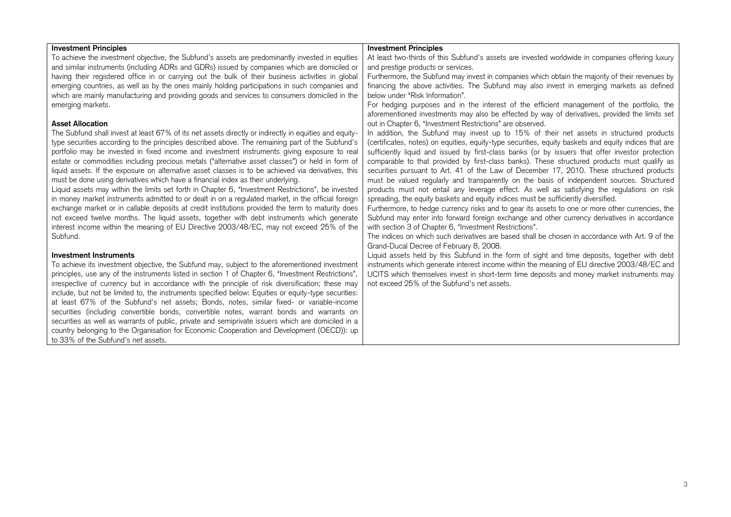| <b>Investment Principles</b>                                                                                                                                                                                                                                                                                                                                                                                                                                                                                                                                                                                                                                                                                                                                                                                                                                                                                                                                                                                                                                                                                                                                                                                                                                                                                                                                                                                                                                                                                                                                                                                                                                                                                                                                                                                  | <b>Investment Principles</b>                                                                                                                                                                                                                                                                                                                                                                                                                                                                                                                                                                                                                                                                                                                                                                                                                                                                                                                                                                                                                                                                                                                                                                                                             |
|---------------------------------------------------------------------------------------------------------------------------------------------------------------------------------------------------------------------------------------------------------------------------------------------------------------------------------------------------------------------------------------------------------------------------------------------------------------------------------------------------------------------------------------------------------------------------------------------------------------------------------------------------------------------------------------------------------------------------------------------------------------------------------------------------------------------------------------------------------------------------------------------------------------------------------------------------------------------------------------------------------------------------------------------------------------------------------------------------------------------------------------------------------------------------------------------------------------------------------------------------------------------------------------------------------------------------------------------------------------------------------------------------------------------------------------------------------------------------------------------------------------------------------------------------------------------------------------------------------------------------------------------------------------------------------------------------------------------------------------------------------------------------------------------------------------|------------------------------------------------------------------------------------------------------------------------------------------------------------------------------------------------------------------------------------------------------------------------------------------------------------------------------------------------------------------------------------------------------------------------------------------------------------------------------------------------------------------------------------------------------------------------------------------------------------------------------------------------------------------------------------------------------------------------------------------------------------------------------------------------------------------------------------------------------------------------------------------------------------------------------------------------------------------------------------------------------------------------------------------------------------------------------------------------------------------------------------------------------------------------------------------------------------------------------------------|
| To achieve the investment objective, the Subfund's assets are predominantly invested in equities                                                                                                                                                                                                                                                                                                                                                                                                                                                                                                                                                                                                                                                                                                                                                                                                                                                                                                                                                                                                                                                                                                                                                                                                                                                                                                                                                                                                                                                                                                                                                                                                                                                                                                              | At least two-thirds of this Subfund's assets are invested worldwide in companies offering luxury                                                                                                                                                                                                                                                                                                                                                                                                                                                                                                                                                                                                                                                                                                                                                                                                                                                                                                                                                                                                                                                                                                                                         |
| and similar instruments (including ADRs and GDRs) issued by companies which are domiciled or                                                                                                                                                                                                                                                                                                                                                                                                                                                                                                                                                                                                                                                                                                                                                                                                                                                                                                                                                                                                                                                                                                                                                                                                                                                                                                                                                                                                                                                                                                                                                                                                                                                                                                                  | and prestige products or services.                                                                                                                                                                                                                                                                                                                                                                                                                                                                                                                                                                                                                                                                                                                                                                                                                                                                                                                                                                                                                                                                                                                                                                                                       |
| having their registered office in or carrying out the bulk of their business activities in global                                                                                                                                                                                                                                                                                                                                                                                                                                                                                                                                                                                                                                                                                                                                                                                                                                                                                                                                                                                                                                                                                                                                                                                                                                                                                                                                                                                                                                                                                                                                                                                                                                                                                                             | Furthermore, the Subfund may invest in companies which obtain the majority of their revenues by                                                                                                                                                                                                                                                                                                                                                                                                                                                                                                                                                                                                                                                                                                                                                                                                                                                                                                                                                                                                                                                                                                                                          |
| emerging countries, as well as by the ones mainly holding participations in such companies and                                                                                                                                                                                                                                                                                                                                                                                                                                                                                                                                                                                                                                                                                                                                                                                                                                                                                                                                                                                                                                                                                                                                                                                                                                                                                                                                                                                                                                                                                                                                                                                                                                                                                                                | financing the above activities. The Subfund may also invest in emerging markets as defined                                                                                                                                                                                                                                                                                                                                                                                                                                                                                                                                                                                                                                                                                                                                                                                                                                                                                                                                                                                                                                                                                                                                               |
| which are mainly manufacturing and providing goods and services to consumers domiciled in the                                                                                                                                                                                                                                                                                                                                                                                                                                                                                                                                                                                                                                                                                                                                                                                                                                                                                                                                                                                                                                                                                                                                                                                                                                                                                                                                                                                                                                                                                                                                                                                                                                                                                                                 | below under "Risk Information".                                                                                                                                                                                                                                                                                                                                                                                                                                                                                                                                                                                                                                                                                                                                                                                                                                                                                                                                                                                                                                                                                                                                                                                                          |
| emerging markets.                                                                                                                                                                                                                                                                                                                                                                                                                                                                                                                                                                                                                                                                                                                                                                                                                                                                                                                                                                                                                                                                                                                                                                                                                                                                                                                                                                                                                                                                                                                                                                                                                                                                                                                                                                                             | For hedging purposes and in the interest of the efficient management of the portfolio, the                                                                                                                                                                                                                                                                                                                                                                                                                                                                                                                                                                                                                                                                                                                                                                                                                                                                                                                                                                                                                                                                                                                                               |
|                                                                                                                                                                                                                                                                                                                                                                                                                                                                                                                                                                                                                                                                                                                                                                                                                                                                                                                                                                                                                                                                                                                                                                                                                                                                                                                                                                                                                                                                                                                                                                                                                                                                                                                                                                                                               | aforementioned investments may also be effected by way of derivatives, provided the limits set                                                                                                                                                                                                                                                                                                                                                                                                                                                                                                                                                                                                                                                                                                                                                                                                                                                                                                                                                                                                                                                                                                                                           |
| <b>Asset Allocation</b>                                                                                                                                                                                                                                                                                                                                                                                                                                                                                                                                                                                                                                                                                                                                                                                                                                                                                                                                                                                                                                                                                                                                                                                                                                                                                                                                                                                                                                                                                                                                                                                                                                                                                                                                                                                       | out in Chapter 6, "Investment Restrictions" are observed.                                                                                                                                                                                                                                                                                                                                                                                                                                                                                                                                                                                                                                                                                                                                                                                                                                                                                                                                                                                                                                                                                                                                                                                |
| The Subfund shall invest at least 67% of its net assets directly or indirectly in equities and equity-                                                                                                                                                                                                                                                                                                                                                                                                                                                                                                                                                                                                                                                                                                                                                                                                                                                                                                                                                                                                                                                                                                                                                                                                                                                                                                                                                                                                                                                                                                                                                                                                                                                                                                        | In addition, the Subfund may invest up to 15% of their net assets in structured products                                                                                                                                                                                                                                                                                                                                                                                                                                                                                                                                                                                                                                                                                                                                                                                                                                                                                                                                                                                                                                                                                                                                                 |
| type securities according to the principles described above. The remaining part of the Subfund's                                                                                                                                                                                                                                                                                                                                                                                                                                                                                                                                                                                                                                                                                                                                                                                                                                                                                                                                                                                                                                                                                                                                                                                                                                                                                                                                                                                                                                                                                                                                                                                                                                                                                                              | (certificates, notes) on equities, equity-type securities, equity baskets and equity indices that are                                                                                                                                                                                                                                                                                                                                                                                                                                                                                                                                                                                                                                                                                                                                                                                                                                                                                                                                                                                                                                                                                                                                    |
|                                                                                                                                                                                                                                                                                                                                                                                                                                                                                                                                                                                                                                                                                                                                                                                                                                                                                                                                                                                                                                                                                                                                                                                                                                                                                                                                                                                                                                                                                                                                                                                                                                                                                                                                                                                                               | sufficiently liquid and issued by first-class banks (or by issuers that offer investor protection                                                                                                                                                                                                                                                                                                                                                                                                                                                                                                                                                                                                                                                                                                                                                                                                                                                                                                                                                                                                                                                                                                                                        |
|                                                                                                                                                                                                                                                                                                                                                                                                                                                                                                                                                                                                                                                                                                                                                                                                                                                                                                                                                                                                                                                                                                                                                                                                                                                                                                                                                                                                                                                                                                                                                                                                                                                                                                                                                                                                               |                                                                                                                                                                                                                                                                                                                                                                                                                                                                                                                                                                                                                                                                                                                                                                                                                                                                                                                                                                                                                                                                                                                                                                                                                                          |
|                                                                                                                                                                                                                                                                                                                                                                                                                                                                                                                                                                                                                                                                                                                                                                                                                                                                                                                                                                                                                                                                                                                                                                                                                                                                                                                                                                                                                                                                                                                                                                                                                                                                                                                                                                                                               |                                                                                                                                                                                                                                                                                                                                                                                                                                                                                                                                                                                                                                                                                                                                                                                                                                                                                                                                                                                                                                                                                                                                                                                                                                          |
|                                                                                                                                                                                                                                                                                                                                                                                                                                                                                                                                                                                                                                                                                                                                                                                                                                                                                                                                                                                                                                                                                                                                                                                                                                                                                                                                                                                                                                                                                                                                                                                                                                                                                                                                                                                                               |                                                                                                                                                                                                                                                                                                                                                                                                                                                                                                                                                                                                                                                                                                                                                                                                                                                                                                                                                                                                                                                                                                                                                                                                                                          |
|                                                                                                                                                                                                                                                                                                                                                                                                                                                                                                                                                                                                                                                                                                                                                                                                                                                                                                                                                                                                                                                                                                                                                                                                                                                                                                                                                                                                                                                                                                                                                                                                                                                                                                                                                                                                               |                                                                                                                                                                                                                                                                                                                                                                                                                                                                                                                                                                                                                                                                                                                                                                                                                                                                                                                                                                                                                                                                                                                                                                                                                                          |
|                                                                                                                                                                                                                                                                                                                                                                                                                                                                                                                                                                                                                                                                                                                                                                                                                                                                                                                                                                                                                                                                                                                                                                                                                                                                                                                                                                                                                                                                                                                                                                                                                                                                                                                                                                                                               |                                                                                                                                                                                                                                                                                                                                                                                                                                                                                                                                                                                                                                                                                                                                                                                                                                                                                                                                                                                                                                                                                                                                                                                                                                          |
|                                                                                                                                                                                                                                                                                                                                                                                                                                                                                                                                                                                                                                                                                                                                                                                                                                                                                                                                                                                                                                                                                                                                                                                                                                                                                                                                                                                                                                                                                                                                                                                                                                                                                                                                                                                                               |                                                                                                                                                                                                                                                                                                                                                                                                                                                                                                                                                                                                                                                                                                                                                                                                                                                                                                                                                                                                                                                                                                                                                                                                                                          |
|                                                                                                                                                                                                                                                                                                                                                                                                                                                                                                                                                                                                                                                                                                                                                                                                                                                                                                                                                                                                                                                                                                                                                                                                                                                                                                                                                                                                                                                                                                                                                                                                                                                                                                                                                                                                               |                                                                                                                                                                                                                                                                                                                                                                                                                                                                                                                                                                                                                                                                                                                                                                                                                                                                                                                                                                                                                                                                                                                                                                                                                                          |
|                                                                                                                                                                                                                                                                                                                                                                                                                                                                                                                                                                                                                                                                                                                                                                                                                                                                                                                                                                                                                                                                                                                                                                                                                                                                                                                                                                                                                                                                                                                                                                                                                                                                                                                                                                                                               |                                                                                                                                                                                                                                                                                                                                                                                                                                                                                                                                                                                                                                                                                                                                                                                                                                                                                                                                                                                                                                                                                                                                                                                                                                          |
|                                                                                                                                                                                                                                                                                                                                                                                                                                                                                                                                                                                                                                                                                                                                                                                                                                                                                                                                                                                                                                                                                                                                                                                                                                                                                                                                                                                                                                                                                                                                                                                                                                                                                                                                                                                                               |                                                                                                                                                                                                                                                                                                                                                                                                                                                                                                                                                                                                                                                                                                                                                                                                                                                                                                                                                                                                                                                                                                                                                                                                                                          |
|                                                                                                                                                                                                                                                                                                                                                                                                                                                                                                                                                                                                                                                                                                                                                                                                                                                                                                                                                                                                                                                                                                                                                                                                                                                                                                                                                                                                                                                                                                                                                                                                                                                                                                                                                                                                               |                                                                                                                                                                                                                                                                                                                                                                                                                                                                                                                                                                                                                                                                                                                                                                                                                                                                                                                                                                                                                                                                                                                                                                                                                                          |
|                                                                                                                                                                                                                                                                                                                                                                                                                                                                                                                                                                                                                                                                                                                                                                                                                                                                                                                                                                                                                                                                                                                                                                                                                                                                                                                                                                                                                                                                                                                                                                                                                                                                                                                                                                                                               |                                                                                                                                                                                                                                                                                                                                                                                                                                                                                                                                                                                                                                                                                                                                                                                                                                                                                                                                                                                                                                                                                                                                                                                                                                          |
|                                                                                                                                                                                                                                                                                                                                                                                                                                                                                                                                                                                                                                                                                                                                                                                                                                                                                                                                                                                                                                                                                                                                                                                                                                                                                                                                                                                                                                                                                                                                                                                                                                                                                                                                                                                                               |                                                                                                                                                                                                                                                                                                                                                                                                                                                                                                                                                                                                                                                                                                                                                                                                                                                                                                                                                                                                                                                                                                                                                                                                                                          |
|                                                                                                                                                                                                                                                                                                                                                                                                                                                                                                                                                                                                                                                                                                                                                                                                                                                                                                                                                                                                                                                                                                                                                                                                                                                                                                                                                                                                                                                                                                                                                                                                                                                                                                                                                                                                               |                                                                                                                                                                                                                                                                                                                                                                                                                                                                                                                                                                                                                                                                                                                                                                                                                                                                                                                                                                                                                                                                                                                                                                                                                                          |
|                                                                                                                                                                                                                                                                                                                                                                                                                                                                                                                                                                                                                                                                                                                                                                                                                                                                                                                                                                                                                                                                                                                                                                                                                                                                                                                                                                                                                                                                                                                                                                                                                                                                                                                                                                                                               |                                                                                                                                                                                                                                                                                                                                                                                                                                                                                                                                                                                                                                                                                                                                                                                                                                                                                                                                                                                                                                                                                                                                                                                                                                          |
|                                                                                                                                                                                                                                                                                                                                                                                                                                                                                                                                                                                                                                                                                                                                                                                                                                                                                                                                                                                                                                                                                                                                                                                                                                                                                                                                                                                                                                                                                                                                                                                                                                                                                                                                                                                                               |                                                                                                                                                                                                                                                                                                                                                                                                                                                                                                                                                                                                                                                                                                                                                                                                                                                                                                                                                                                                                                                                                                                                                                                                                                          |
|                                                                                                                                                                                                                                                                                                                                                                                                                                                                                                                                                                                                                                                                                                                                                                                                                                                                                                                                                                                                                                                                                                                                                                                                                                                                                                                                                                                                                                                                                                                                                                                                                                                                                                                                                                                                               |                                                                                                                                                                                                                                                                                                                                                                                                                                                                                                                                                                                                                                                                                                                                                                                                                                                                                                                                                                                                                                                                                                                                                                                                                                          |
|                                                                                                                                                                                                                                                                                                                                                                                                                                                                                                                                                                                                                                                                                                                                                                                                                                                                                                                                                                                                                                                                                                                                                                                                                                                                                                                                                                                                                                                                                                                                                                                                                                                                                                                                                                                                               |                                                                                                                                                                                                                                                                                                                                                                                                                                                                                                                                                                                                                                                                                                                                                                                                                                                                                                                                                                                                                                                                                                                                                                                                                                          |
|                                                                                                                                                                                                                                                                                                                                                                                                                                                                                                                                                                                                                                                                                                                                                                                                                                                                                                                                                                                                                                                                                                                                                                                                                                                                                                                                                                                                                                                                                                                                                                                                                                                                                                                                                                                                               |                                                                                                                                                                                                                                                                                                                                                                                                                                                                                                                                                                                                                                                                                                                                                                                                                                                                                                                                                                                                                                                                                                                                                                                                                                          |
|                                                                                                                                                                                                                                                                                                                                                                                                                                                                                                                                                                                                                                                                                                                                                                                                                                                                                                                                                                                                                                                                                                                                                                                                                                                                                                                                                                                                                                                                                                                                                                                                                                                                                                                                                                                                               |                                                                                                                                                                                                                                                                                                                                                                                                                                                                                                                                                                                                                                                                                                                                                                                                                                                                                                                                                                                                                                                                                                                                                                                                                                          |
| portfolio may be invested in fixed income and investment instruments giving exposure to real<br>estate or commodities including precious metals ("alternative asset classes") or held in form of<br>liquid assets. If the exposure on alternative asset classes is to be achieved via derivatives, this<br>must be done using derivatives which have a financial index as their underlying.<br>Liquid assets may within the limits set forth in Chapter 6, "Investment Restrictions", be invested<br>in money market instruments admitted to or dealt in on a regulated market, in the official foreign<br>exchange market or in callable deposits at credit institutions provided the term to maturity does<br>not exceed twelve months. The liquid assets, together with debt instruments which generate<br>interest income within the meaning of EU Directive 2003/48/EC, may not exceed 25% of the<br>Subfund.<br><b>Investment Instruments</b><br>To achieve its investment objective, the Subfund may, subject to the aforementioned investment<br>principles, use any of the instruments listed in section 1 of Chapter 6, "Investment Restrictions",<br>irrespective of currency but in accordance with the principle of risk diversification; these may<br>include, but not be limited to, the instruments specified below: Equities or equity-type securities:<br>at least 67% of the Subfund's net assets; Bonds, notes, similar fixed- or variable-income<br>securities (including convertible bonds, convertible notes, warrant bonds and warrants on<br>securities as well as warrants of public, private and semiprivate issuers which are domiciled in a<br>country belonging to the Organisation for Economic Cooperation and Development (OECD)): up<br>to 33% of the Subfund's net assets. | comparable to that provided by first-class banks). These structured products must qualify as<br>securities pursuant to Art. 41 of the Law of December 17, 2010. These structured products<br>must be valued regularly and transparently on the basis of independent sources. Structured<br>products must not entail any leverage effect. As well as satisfying the regulations on risk<br>spreading, the equity baskets and equity indices must be sufficiently diversified.<br>Furthermore, to hedge currency risks and to gear its assets to one or more other currencies, the<br>Subfund may enter into forward foreign exchange and other currency derivatives in accordance<br>with section 3 of Chapter 6, "Investment Restrictions".<br>The indices on which such derivatives are based shall be chosen in accordance with Art. 9 of the<br>Grand-Ducal Decree of February 8, 2008.<br>Liquid assets held by this Subfund in the form of sight and time deposits, together with debt<br>instruments which generate interest income within the meaning of EU directive 2003/48/EC and<br>UCITS which themselves invest in short-term time deposits and money market instruments may<br>not exceed 25% of the Subfund's net assets. |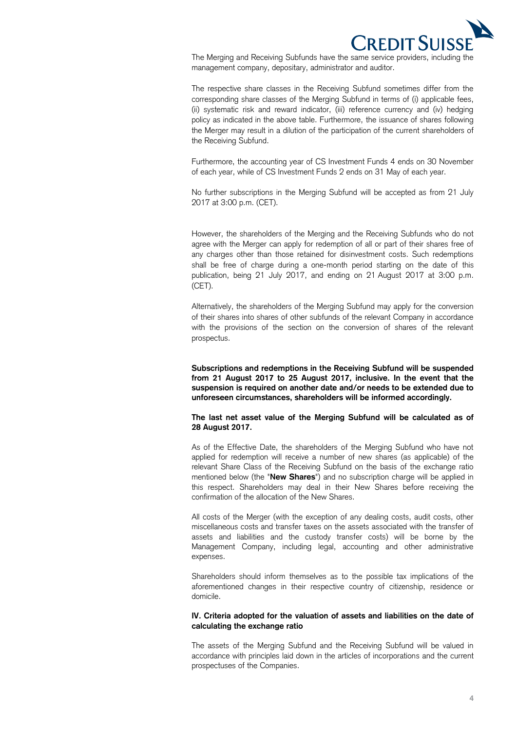

 The Merging and Receiving Subfunds have the same service providers, including the management company, depositary, administrator and auditor.

 The respective share classes in the Receiving Subfund sometimes differ from the corresponding share classes of the Merging Subfund in terms of (i) applicable fees, (ii) systematic risk and reward indicator, (iii) reference currency and (iv) hedging policy as indicated in the above table. Furthermore, the issuance of shares following the Merger may result in a dilution of the participation of the current shareholders of the Receiving Subfund.

the Receiving Subfund.<br>Furthermore, the accounting year of CS Investment Funds 4 ends on 30 November of each year, while of CS Investment Funds 2 ends on 31 May of each year.

 No further subscriptions in the Merging Subfund will be accepted as from 21 July 2017 at 3:00 p.m. (CET).

 However, the shareholders of the Merging and the Receiving Subfunds who do not agree with the Merger can apply for redemption of all or part of their shares free of any charges other than those retained for disinvestment costs. Such redemptions shall be free of charge during a one-month period starting on the date of this publication, being 21 July 2017, and ending on 21 August 2017 at 3:00 p.m. (CET).

 Alternatively, the shareholders of the Merging Subfund may apply for the conversion of their shares into shares of other subfunds of the relevant Company in accordance with the provisions of the section on the conversion of shares of the relevant prospectus.

 **Subscriptions and redemptions in the Receiving Subfund will be suspended from 21 August 2017 to 25 August 2017, inclusive. In the event that the suspension is required on another date and/or needs to be extended due to unforeseen circumstances, shareholders will be informed accordingly.** 

### **The last net asset value of the Merging Subfund will be calculated as of 28 August 2017.**

 As of the Effective Date, the shareholders of the Merging Subfund who have not applied for redemption will receive a number of new shares (as applicable) of the relevant Share Class of the Receiving Subfund on the basis of the exchange ratio mentioned below (the "**New Shares**") and no subscription charge will be applied in this respect. Shareholders may deal in their New Shares before receiving the confirmation of the allocation of the New Shares.

 All costs of the Merger (with the exception of any dealing costs, audit costs, other miscellaneous costs and transfer taxes on the assets associated with the transfer of assets and liabilities and the custody transfer costs) will be borne by the Management Company, including legal, accounting and other administrative expenses.

 Shareholders should inform themselves as to the possible tax implications of the aforementioned changes in their respective country of citizenship, residence or domicile.

### **IV. Criteria adopted for the valuation of assets and liabilities on the date of calculating the exchange ratio**

 The assets of the Merging Subfund and the Receiving Subfund will be valued in accordance with principles laid down in the articles of incorporations and the current prospectuses of the Companies.